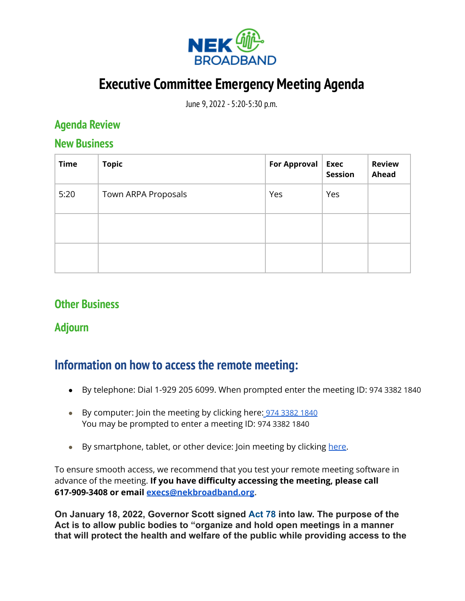

# **Executive Committee Emergency Meeting Agenda**

June 9, 2022 - 5:20-5:30 p.m.

### **Agenda Review**

#### **New Business**

| <b>Time</b> | <b>Topic</b>        | <b>For Approval</b> | <b>Exec</b><br><b>Session</b> | <b>Review</b><br>Ahead |
|-------------|---------------------|---------------------|-------------------------------|------------------------|
| 5:20        | Town ARPA Proposals | Yes                 | Yes                           |                        |
|             |                     |                     |                               |                        |
|             |                     |                     |                               |                        |

## **Other Business**

#### **Adjourn**

## **Information on how to access the remote meeting:**

- By telephone: Dial 1-929 205 6099. When prompted enter the meeting ID: 974 3382 1840
- By computer: Join the meeting by clicking here: 974 [3382](https://zoom.us/j/97433821840?pwd=V3duRFZrY0FPbFF0ZE41RHVpMkhqZz09) 1840 You may be prompted to enter a meeting ID: 974 3382 1840
- By smartphone, tablet, or other device: Join meeting by clicking [here](https://zoom.us/j/97433821840?pwd=V3duRFZrY0FPbFF0ZE41RHVpMkhqZz09).

To ensure smooth access, we recommend that you test your remote meeting software in advance of the meeting. **If you have difficulty accessing the meeting, please call 617-909-3408 or email [execs@nekbroadband.org](mailto:execs@nekbroadband.org).**

**On January 18, 2022, Governor Scott signed [Act 78](https://legislature.vermont.gov/Documents/2022/Docs/ACTS/ACT078/ACT078%20As%20Enacted.pdf) into law. The purpose of the Act is to allow public bodies to "organize and hold open meetings in a manner that will protect the health and welfare of the public while providing access to the**